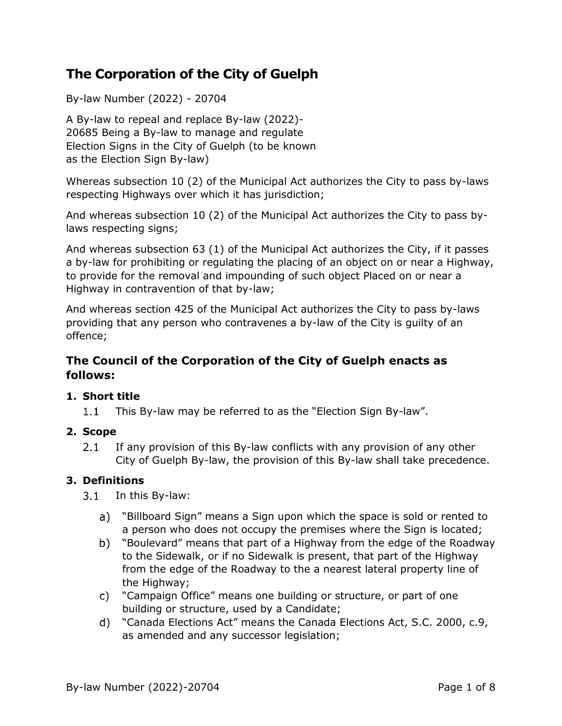# **The Corporation of the City of Guelph**

By-law Number (2022) - 20704

A By-law to repeal and replace By-law (2022)- 20685 Being a By-law to manage and regulate Election Signs in the City of Guelph (to be known as the Election Sign By-law)

Whereas subsection 10 (2) of the Municipal Act authorizes the City to pass by-laws respecting Highways over which it has jurisdiction;

And whereas subsection 10 (2) of the Municipal Act authorizes the City to pass bylaws respecting signs;

And whereas subsection 63 (1) of the Municipal Act authorizes the City, if it passes a by-law for prohibiting or regulating the placing of an object on or near a Highway, to provide for the removal and impounding of such object Placed on or near a Highway in contravention of that by-law;

And whereas section 425 of the Municipal Act authorizes the City to pass by-laws providing that any person who contravenes a by-law of the City is guilty of an offence;

# **The Council of the Corporation of the City of Guelph enacts as follows:**

## **1. Short title**

 $1.1$ This By-law may be referred to as the "Election Sign By-law".

## **2. Scope**

If any provision of this By-law conflicts with any provision of any other  $2.1$ City of Guelph By-law, the provision of this By-law shall take precedence.

## **3. Definitions**

3.1 In this By-law:

- a) "Billboard Sign" means a Sign upon which the space is sold or rented to a person who does not occupy the premises where the Sign is located;
- b) "Boulevard" means that part of a Highway from the edge of the Roadway to the Sidewalk, or if no Sidewalk is present, that part of the Highway from the edge of the Roadway to the a nearest lateral property line of the Highway;
- "Campaign Office" means one building or structure, or part of one building or structure, used by a Candidate;
- "Canada Elections Act" means the Canada Elections Act, S.C. 2000, c.9, as amended and any successor legislation;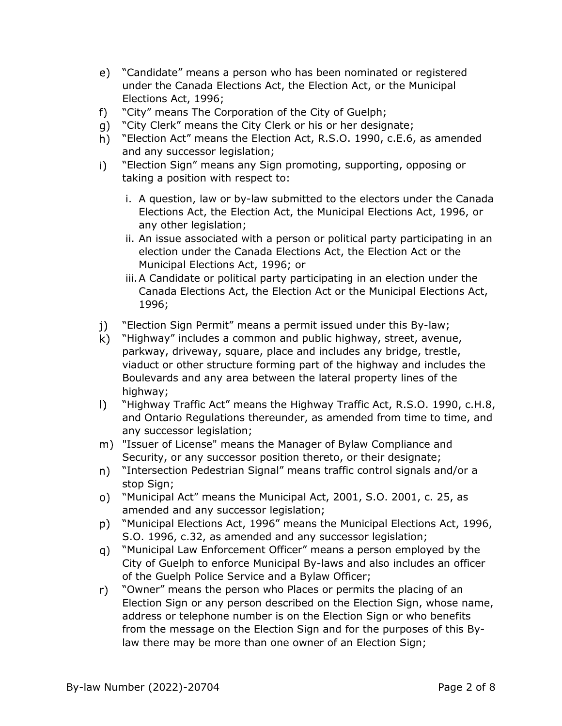- "Candidate" means a person who has been nominated or registered under the Canada Elections Act, the Election Act, or the Municipal Elections Act, 1996;
- "City" means The Corporation of the City of Guelph;  $f$ )
- "City Clerk" means the City Clerk or his or her designate;
- "Election Act" means the Election Act, R.S.O. 1990, c.E.6, as amended and any successor legislation;
- "Election Sign" means any Sign promoting, supporting, opposing or  $\vert$ taking a position with respect to:
	- i. A question, law or by-law submitted to the electors under the Canada Elections Act, the Election Act, the Municipal Elections Act, 1996, or any other legislation;
	- ii. An issue associated with a person or political party participating in an election under the Canada Elections Act, the Election Act or the Municipal Elections Act, 1996; or
	- iii.A Candidate or political party participating in an election under the Canada Elections Act, the Election Act or the Municipal Elections Act, 1996;
- "Election Sign Permit" means a permit issued under this By-law; j).
- "Highway" includes a common and public highway, street, avenue, parkway, driveway, square, place and includes any bridge, trestle, viaduct or other structure forming part of the highway and includes the Boulevards and any area between the lateral property lines of the highway;
- $\mathbf{D}$ "Highway Traffic Act" means the Highway Traffic Act, R.S.O. 1990, c.H.8, and Ontario Regulations thereunder, as amended from time to time, and any successor legislation;
- m) "Issuer of License" means the Manager of Bylaw Compliance and Security, or any successor position thereto, or their designate;
- n) "Intersection Pedestrian Signal" means traffic control signals and/or a stop Sign;
- "Municipal Act" means the Municipal Act, 2001, S.O. 2001, c. 25, as amended and any successor legislation;
- "Municipal Elections Act, 1996" means the Municipal Elections Act, 1996, S.O. 1996, c.32, as amended and any successor legislation;
- "Municipal Law Enforcement Officer" means a person employed by the  $q)$ City of Guelph to enforce Municipal By-laws and also includes an officer of the Guelph Police Service and a Bylaw Officer;
- "Owner" means the person who Places or permits the placing of an r) Election Sign or any person described on the Election Sign, whose name, address or telephone number is on the Election Sign or who benefits from the message on the Election Sign and for the purposes of this Bylaw there may be more than one owner of an Election Sign;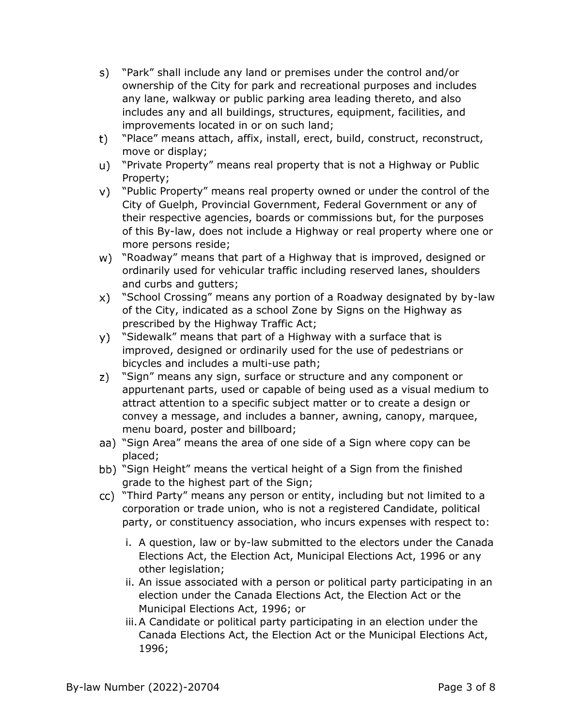- s) "Park" shall include any land or premises under the control and/or ownership of the City for park and recreational purposes and includes any lane, walkway or public parking area leading thereto, and also includes any and all buildings, structures, equipment, facilities, and improvements located in or on such land;
- "Place" means attach, affix, install, erect, build, construct, reconstruct, t) move or display;
- "Private Property" means real property that is not a Highway or Public Property;
- "Public Property" means real property owned or under the control of the City of Guelph, Provincial Government, Federal Government or any of their respective agencies, boards or commissions but, for the purposes of this By-law, does not include a Highway or real property where one or more persons reside;
- w) "Roadway" means that part of a Highway that is improved, designed or ordinarily used for vehicular traffic including reserved lanes, shoulders and curbs and gutters;
- "School Crossing" means any portion of a Roadway designated by by-law of the City, indicated as a school Zone by Signs on the Highway as prescribed by the Highway Traffic Act;
- y) "Sidewalk" means that part of a Highway with a surface that is improved, designed or ordinarily used for the use of pedestrians or bicycles and includes a multi-use path;
- z) "Sign" means any sign, surface or structure and any component or appurtenant parts, used or capable of being used as a visual medium to attract attention to a specific subject matter or to create a design or convey a message, and includes a banner, awning, canopy, marquee, menu board, poster and billboard;
- aa) "Sign Area" means the area of one side of a Sign where copy can be placed;
- bb) "Sign Height" means the vertical height of a Sign from the finished grade to the highest part of the Sign;
- "Third Party" means any person or entity, including but not limited to a corporation or trade union, who is not a registered Candidate, political party, or constituency association, who incurs expenses with respect to:
	- i. A question, law or by-law submitted to the electors under the Canada Elections Act, the Election Act, Municipal Elections Act, 1996 or any other legislation;
	- ii. An issue associated with a person or political party participating in an election under the Canada Elections Act, the Election Act or the Municipal Elections Act, 1996; or
	- iii.A Candidate or political party participating in an election under the Canada Elections Act, the Election Act or the Municipal Elections Act, 1996;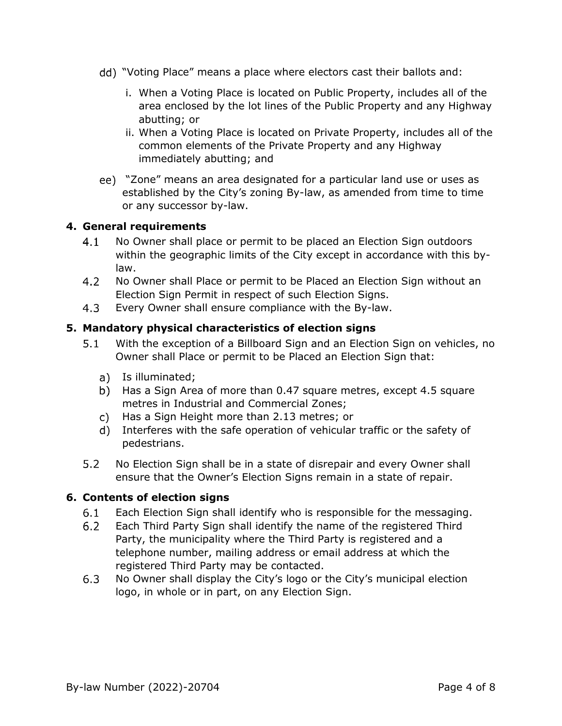- "Voting Place" means a place where electors cast their ballots and:
	- i. When a Voting Place is located on Public Property, includes all of the area enclosed by the lot lines of the Public Property and any Highway abutting; or
	- ii. When a Voting Place is located on Private Property, includes all of the common elements of the Private Property and any Highway immediately abutting; and
- "Zone" means an area designated for a particular land use or uses as established by the City's zoning By-law, as amended from time to time or any successor by-law.

#### **4. General requirements**

- $4.1$ No Owner shall place or permit to be placed an Election Sign outdoors within the geographic limits of the City except in accordance with this bylaw.
- $4.2$ No Owner shall Place or permit to be Placed an Election Sign without an Election Sign Permit in respect of such Election Signs.
- 4.3 Every Owner shall ensure compliance with the By-law.

## **5. Mandatory physical characteristics of election signs**

- $5.1$ With the exception of a Billboard Sign and an Election Sign on vehicles, no Owner shall Place or permit to be Placed an Election Sign that:
	- a) Is illuminated;
	- b) Has a Sign Area of more than 0.47 square metres, except 4.5 square metres in Industrial and Commercial Zones;
	- Has a Sign Height more than 2.13 metres; or
	- Interferes with the safe operation of vehicular traffic or the safety of pedestrians.
- $5.2$ No Election Sign shall be in a state of disrepair and every Owner shall ensure that the Owner's Election Signs remain in a state of repair.

#### **6. Contents of election signs**

- $6.1$ Each Election Sign shall identify who is responsible for the messaging.
- $6.2$ Each Third Party Sign shall identify the name of the registered Third Party, the municipality where the Third Party is registered and a telephone number, mailing address or email address at which the registered Third Party may be contacted.
- $6.3$ No Owner shall display the City's logo or the City's municipal election logo, in whole or in part, on any Election Sign.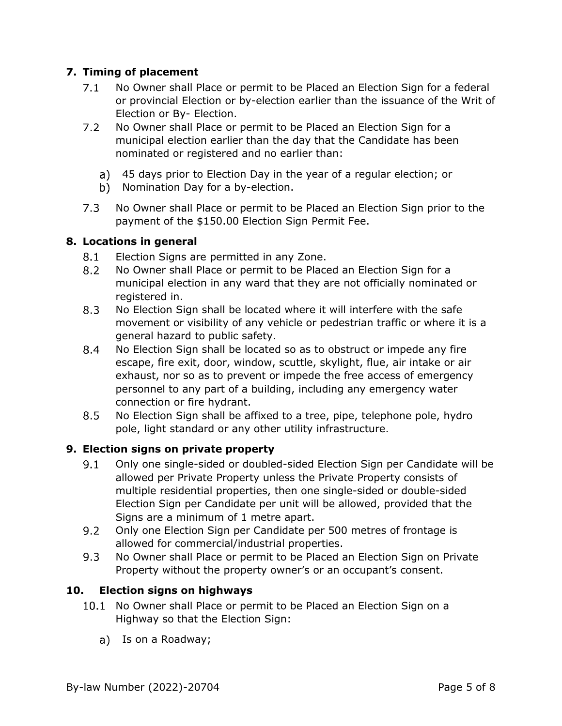## **7. Timing of placement**

- $7.1$ No Owner shall Place or permit to be Placed an Election Sign for a federal or provincial Election or by-election earlier than the issuance of the Writ of Election or By- Election.
- $7.2$ No Owner shall Place or permit to be Placed an Election Sign for a municipal election earlier than the day that the Candidate has been nominated or registered and no earlier than:
	- 45 days prior to Election Day in the year of a regular election; or
	- b) Nomination Day for a by-election.
- $7.3$ No Owner shall Place or permit to be Placed an Election Sign prior to the payment of the \$150.00 Election Sign Permit Fee.

#### **8. Locations in general**

- $8.1$ Election Signs are permitted in any Zone.
- $8.2$ No Owner shall Place or permit to be Placed an Election Sign for a municipal election in any ward that they are not officially nominated or registered in.
- 8.3 No Election Sign shall be located where it will interfere with the safe movement or visibility of any vehicle or pedestrian traffic or where it is a general hazard to public safety.
- 8.4 No Election Sign shall be located so as to obstruct or impede any fire escape, fire exit, door, window, scuttle, skylight, flue, air intake or air exhaust, nor so as to prevent or impede the free access of emergency personnel to any part of a building, including any emergency water connection or fire hydrant.
- $8.5$ No Election Sign shall be affixed to a tree, pipe, telephone pole, hydro pole, light standard or any other utility infrastructure.

#### **9. Election signs on private property**

- $9.1$ Only one single-sided or doubled-sided Election Sign per Candidate will be allowed per Private Property unless the Private Property consists of multiple residential properties, then one single-sided or double-sided Election Sign per Candidate per unit will be allowed, provided that the Signs are a minimum of 1 metre apart.
- $9.2$ Only one Election Sign per Candidate per 500 metres of frontage is allowed for commercial/industrial properties.
- $9.3$ No Owner shall Place or permit to be Placed an Election Sign on Private Property without the property owner's or an occupant's consent.

#### **10. Election signs on highways**

- 10.1 No Owner shall Place or permit to be Placed an Election Sign on a Highway so that the Election Sign:
	- a) Is on a Roadway;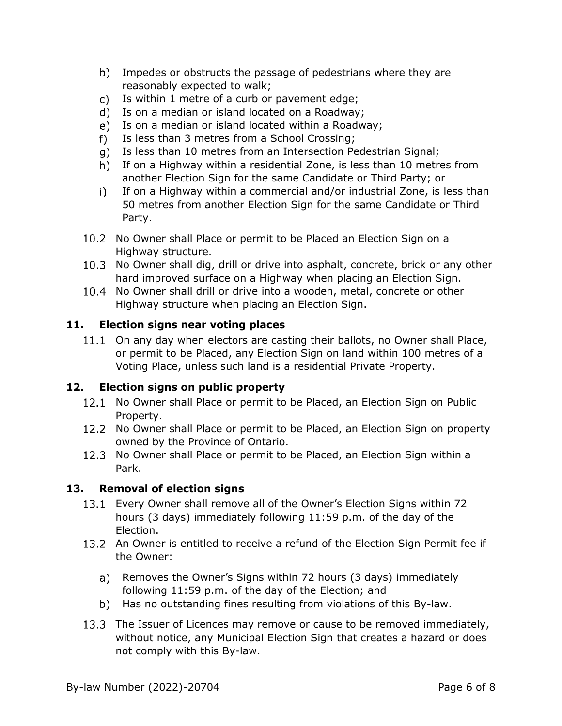- b) Impedes or obstructs the passage of pedestrians where they are reasonably expected to walk;
- c) Is within 1 metre of a curb or pavement edge;
- Is on a median or island located on a Roadway;
- e) Is on a median or island located within a Roadway;
- Is less than 3 metres from a School Crossing;  $f$ )
- g) Is less than 10 metres from an Intersection Pedestrian Signal;
- h) If on a Highway within a residential Zone, is less than 10 metres from another Election Sign for the same Candidate or Third Party; or
- If on a Highway within a commercial and/or industrial Zone, is less than  $\vert \cdot \rangle$ 50 metres from another Election Sign for the same Candidate or Third Party.
- 10.2 No Owner shall Place or permit to be Placed an Election Sign on a Highway structure.
- 10.3 No Owner shall dig, drill or drive into asphalt, concrete, brick or any other hard improved surface on a Highway when placing an Election Sign.
- 10.4 No Owner shall drill or drive into a wooden, metal, concrete or other Highway structure when placing an Election Sign.

#### **11. Election signs near voting places**

11.1 On any day when electors are casting their ballots, no Owner shall Place, or permit to be Placed, any Election Sign on land within 100 metres of a Voting Place, unless such land is a residential Private Property.

#### **12. Election signs on public property**

- 12.1 No Owner shall Place or permit to be Placed, an Election Sign on Public Property.
- 12.2 No Owner shall Place or permit to be Placed, an Election Sign on property owned by the Province of Ontario.
- 12.3 No Owner shall Place or permit to be Placed, an Election Sign within a Park.

#### **13. Removal of election signs**

- 13.1 Every Owner shall remove all of the Owner's Election Signs within 72 hours (3 days) immediately following 11:59 p.m. of the day of the Election.
- 13.2 An Owner is entitled to receive a refund of the Election Sign Permit fee if the Owner:
	- a) Removes the Owner's Signs within 72 hours (3 days) immediately following 11:59 p.m. of the day of the Election; and
	- b) Has no outstanding fines resulting from violations of this By-law.
- 13.3 The Issuer of Licences may remove or cause to be removed immediately, without notice, any Municipal Election Sign that creates a hazard or does not comply with this By-law.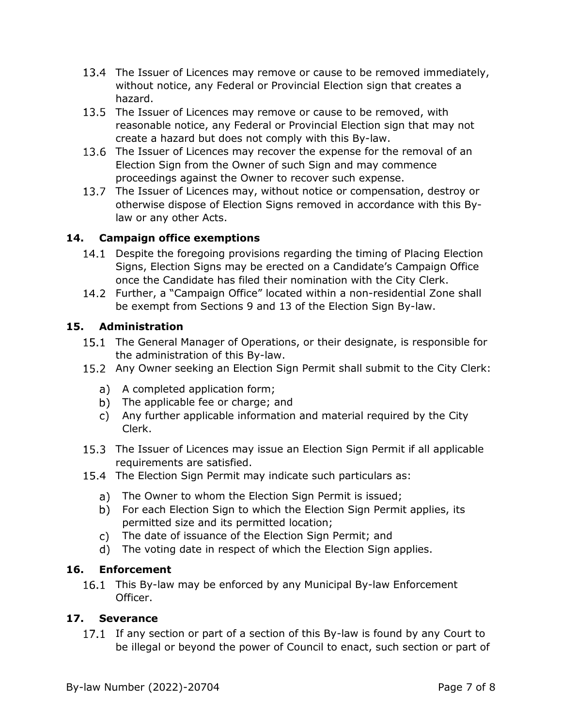- 13.4 The Issuer of Licences may remove or cause to be removed immediately, without notice, any Federal or Provincial Election sign that creates a hazard.
- 13.5 The Issuer of Licences may remove or cause to be removed, with reasonable notice, any Federal or Provincial Election sign that may not create a hazard but does not comply with this By-law.
- 13.6 The Issuer of Licences may recover the expense for the removal of an Election Sign from the Owner of such Sign and may commence proceedings against the Owner to recover such expense.
- 13.7 The Issuer of Licences may, without notice or compensation, destroy or otherwise dispose of Election Signs removed in accordance with this Bylaw or any other Acts.

# **14. Campaign office exemptions**

- 14.1 Despite the foregoing provisions regarding the timing of Placing Election Signs, Election Signs may be erected on a Candidate's Campaign Office once the Candidate has filed their nomination with the City Clerk.
- 14.2 Further, a "Campaign Office" located within a non-residential Zone shall be exempt from Sections 9 and 13 of the Election Sign By-law.

# **15. Administration**

- 15.1 The General Manager of Operations, or their designate, is responsible for the administration of this By-law.
- 15.2 Any Owner seeking an Election Sign Permit shall submit to the City Clerk:
	- a) A completed application form;
	- b) The applicable fee or charge; and
	- Any further applicable information and material required by the City Clerk.
- 15.3 The Issuer of Licences may issue an Election Sign Permit if all applicable requirements are satisfied.
- 15.4 The Election Sign Permit may indicate such particulars as:
	- a) The Owner to whom the Election Sign Permit is issued;
	- b) For each Election Sign to which the Election Sign Permit applies, its permitted size and its permitted location;
	- The date of issuance of the Election Sign Permit; and
	- The voting date in respect of which the Election Sign applies.

## **16. Enforcement**

16.1 This By-law may be enforced by any Municipal By-law Enforcement Officer.

#### **17. Severance**

17.1 If any section or part of a section of this By-law is found by any Court to be illegal or beyond the power of Council to enact, such section or part of